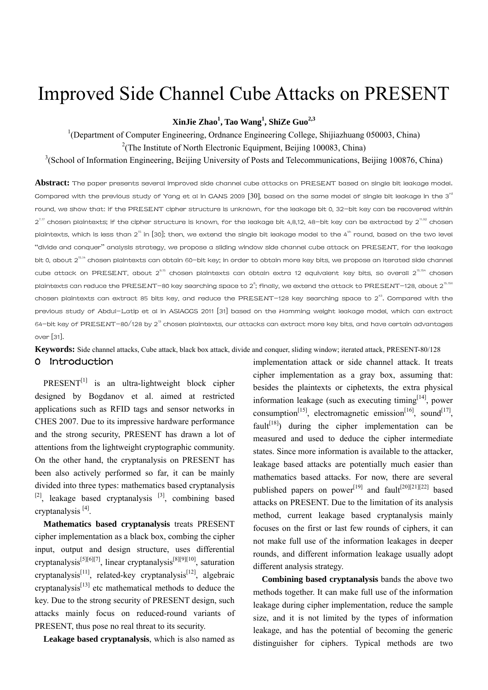# Improved Side Channel Cube Attacks on PRESENT

**XinJie Zhao<sup>1</sup> , Tao Wang<sup>1</sup> , ShiZe Guo2,3**

<sup>1</sup>(Department of Computer Engineering, Ordnance Engineering College, Shijiazhuang 050003, China) <sup>2</sup>(The Institute of North Electronic Equipment, Beijing 100083, China)

 $3$ (School of Information Engineering, Beijing University of Posts and Telecommunications, Beijing 100876, China)

**Abstract:** The paper presents several improved side channel cube attacks on PRESENT based on single bit leakage model. Compared with the previous study of Yang et al in CANS 2009  $[30]$ , based on the same model of single bit leakage in the 3<sup>rd</sup> round, we show that: if the PRESENT cipher structure is unknown, for the leakage bit 0, 32-bit key can be recovered within  $2^{7.17}$  chosen plaintexts; if the cipher structure is known, for the leakage bit 4,8,12, 48-bit key can be extracted by  $2^{1.92}$  chosen plaintexts, which is less than 2" in [\[30\];](#page-9-0) then, we extend the single bit leakage model to the 4" round, based on the two level "divide and conquer" analysis strategy, we propose a sliding window side channel cube attack on PRESENT, for the leakage bit 0, about 2<sup>15.14</sup> chosen plaintexts can obtain 60-bit key; in order to obtain more key bits, we propose an iterated side channel cube attack on PRESENT, about  $2^{8.15}$  chosen plaintexts can obtain extra 12 equivalent key bits, so overall  $2^{15.154}$  chosen plaintexts can reduce the PRESENT-80 key searching space to 2 $\degree;$  finally, we extend the attack to PRESENT-128, about 2  $^{15.15}$ chosen plaintexts can extract 85 bits key, and reduce the PRESENT–128 key searching space to 2 $^{\rm{a}}$ . Compared with the previous study of Abdul-Latip et al in ASIACCS 2011 [\[31\]](#page-9-1) based on the Hamming weight leakage model, which can extract 64—bit key of PRESENT—80/128 by 2<sup>13</sup> chosen plaintexts, our attacks can extract more key bits, and have certain advantages over [\[31\]](#page-9-1).

**Keywords:** Side channel attacks, Cube attack, black box attack, divide and conquer, sliding window; iterated attack, PRESENT-80/128

#### 0 Introduction

PRESENT<sup>[1]</sup> is an ultra-lightweight block cipher designed by Bogdanov et al. aimed at restricted applications such as RFID tags and sensor networks in CHES 2007. Due to its impressive hardware performance and the strong security, PRESENT has drawn a lot of attentions from the lightweight cryptographic community. On the other hand, the cryptanalysis on PRESENT has been also actively performed so far, it can be mainly divided into three types: mathematics based cryptanalysis  $[2]$ , leakage based cryptanalysis  $[3]$ , combining based cryptanalysis [\[4\].](#page-8-3)

**Mathematics based cryptanalysis** treats PRESENT cipher implementation as a black box, combing the cipher input, output and design structure, uses differential cryptanalysis<sup>[\[5\]](#page-8-4)[\[6\]](#page-8-5)[\[7\]](#page-8-6)</sup>, linear cryptanalysis<sup>[8][\[9\]](#page-8-8)[10]</sup>, saturation cryptanalysis<sup>[\[11\]](#page-8-10)</sup>, related-key cryptanalysis<sup>[12]</sup>, algebraic cryptanalysis<sup>[13]</sup> etc mathematical methods to deduce the key. Due to the strong security of PRESENT design, such attacks mainly focus on reduced-round variants of PRESENT, thus pose no real threat to its security.

**Leakage based cryptanalysis**, which is also named as

implementation attack or side channel attack. It treats cipher implementation as a gray box, assuming that: besides the plaintexts or ciphetexts, the extra physical information leakage (such as executing timing  $[14]$  power consumption<sup>[15]</sup>, electromagnetic emission<sup>[16]</sup>, sound<sup>[17]</sup>, fault<sup>[18]</sup>) during the cipher implementation can be measured and used to deduce the cipher intermediate states. Since more information is available to the attacker, leakage based attacks are potentially much easier than mathematics based attacks. For now, there are several published papers on power<sup>[19]</sup> and fault<sup>[20][\[21\]](#page-9-4)[\[22\]](#page-9-5)</sup> based attacks on PRESENT. Due to the limitation of its analysis method, current leakage based cryptanalysis mainly focuses on the first or last few rounds of ciphers, it can not make full use of the information leakages in deeper rounds, and different information leakage usually adopt different analysis strategy.

**Combining based cryptanalysis** bands the above two methods together. It can make full use of the information leakage during cipher implementation, reduce the sample size, and it is not limited by the types of information leakage, and has the potential of becoming the generic distinguisher for ciphers. Typical methods are two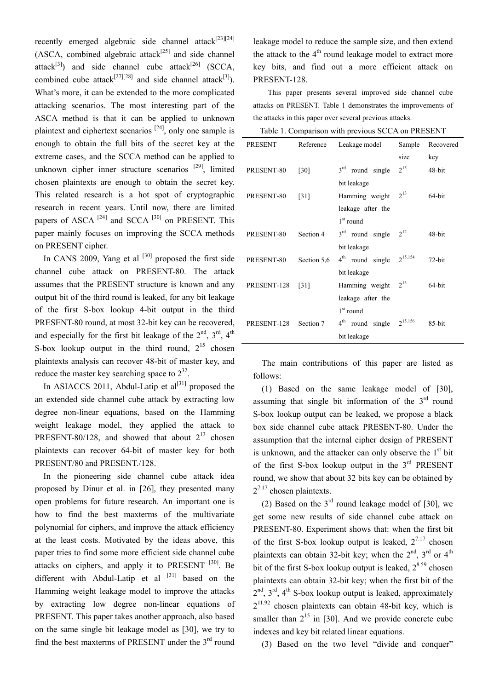recently emerged algebraic side channel attack<sup>[23][\[24\]](#page-9-7)</sup>  $(ASCA, combined algebraic attack<sup>[25]</sup> and side channel)$ attack<sup>[3]</sup>) and side channel cube attack<sup>[26]</sup> (SCCA, combined cube attack<sup>[\[27\]](#page-9-10)[\[28\]](#page-9-11)</sup> and side channel attack<sup>[3]</sup>). What's more, it can be extended to the more complicated attacking scenarios. The most interesting part of the ASCA method is that it can be applied to unknown plaintext and ciphertext scenarios  $[24]$ , only one sample is enough to obtain the full bits of the secret key at the extreme cases, and the SCCA method can be applied to unknown cipher inner structure scenarios  $[29]$ , limited chosen plaintexts are enough to obtain the secret key. This related research is a hot spot of cryptographic research in recent years. Until now, there are limited papers of ASCA  $^{[24]}$  and SCCA  $^{[30]}$  on PRESENT. This paper mainly focuses on improving the SCCA methods on PRESENT cipher.

In CANS 2009, Yang et al  $[30]$  proposed the first side channel cube attack on PRESENT-80. The attack assumes that the PRESENT structure is known and any output bit of the third round is leaked, for any bit leakage of the first S-box lookup 4-bit output in the third PRESENT-80 round, at most 32-bit key can be recovered, and especially for the first bit leakage of the  $2<sup>nd</sup>$ ,  $3<sup>rd</sup>$ ,  $4<sup>th</sup>$ S-box lookup output in the third round,  $2^{15}$  chosen plaintexts analysis can recover 48-bit of master key, and reduce the master key searching space to  $2^{32}$ .

In ASIACCS 2011, Abdul-Latip et  $al^{[31]}$  $al^{[31]}$  $al^{[31]}$  proposed the an extended side channel cube attack by extracting low degree non-linear equations, based on the Hamming weight leakage model, they applied the attack to PRESENT-80/128, and showed that about  $2^{13}$  chosen plaintexts can recover 64-bit of master key for both PRESENT/80 and PRESENT./128.

In the pioneering side channel cube attack idea proposed by Dinur et al. in [\[26\],](#page-9-9) they presented many open problems for future research. An important one is how to find the best maxterms of the multivariate polynomial for ciphers, and improve the attack efficiency at the least costs. Motivated by the ideas above, this paper tries to find some more efficient side channel cube attacks on ciphers, and apply it to PRESENT  $[30]$ . Be different with Abdul-Latip et al [\[31\]](#page-9-1) based on the Hamming weight leakage model to improve the attacks by extracting low degree non-linear equations of PRESENT. This paper takes another approach, also based on the same single bit leakage model as [\[30\],](#page-9-0) we try to find the best maxterms of PRESENT under the 3<sup>rd</sup> round

leakage model to reduce the sample size, and then extend the attack to the  $4<sup>th</sup>$  round leakage model to extract more key bits, and find out a more efficient attack on PRESENT-128.

This paper presents several improved side channel cube attacks on PRESENT. Table 1 demonstrates the improvements of the attacks in this paper over several previous attacks.

| PRESENT     | Reference          | Leakage model                   | Sample       | Recovered |
|-------------|--------------------|---------------------------------|--------------|-----------|
|             |                    |                                 | size         | key       |
| PRESENT-80  | $\lceil 30 \rceil$ | 3 <sup>rd</sup><br>round single | $2^{15}$     | 48-bit    |
|             |                    | bit leakage                     |              |           |
| PRESENT-80  | $\lceil 31 \rceil$ | Hamming weight                  | $2^{13}$     | 64-bit    |
|             |                    | leakage after the               |              |           |
|             |                    | $1st$ round                     |              |           |
| PRESENT-80  | Section 4          | $3rd$ round single              | $2^{12}$     | 48-bit    |
|             |                    | bit leakage                     |              |           |
| PRESENT-80  | Section 5,6        | 4 <sup>th</sup> round single    | $2^{15.154}$ | $72$ -bit |
|             |                    | bit leakage                     |              |           |
| PRESENT-128 | [31]               | Hamming weight                  | $2^{13}$     | 64-bit    |
|             |                    | leakage after the               |              |           |
|             |                    | $1st$ round                     |              |           |
| PRESENT-128 | Section 7          | 4 <sup>th</sup> round single    | $2^{15.156}$ | 85-bit    |
|             |                    | bit leakage                     |              |           |

The main contributions of this paper are listed as follows:

(1) Based on the same leakage model of [\[30\]](#page-9-0), assuming that single bit information of the  $3<sup>rd</sup>$  round S-box lookup output can be leaked, we propose a black box side channel cube attack PRESENT-80. Under the assumption that the internal cipher design of PRESENT is unknown, and the attacker can only observe the  $1<sup>st</sup>$  bit of the first S-box lookup output in the  $3<sup>rd</sup>$  PRESENT round, we show that about 32 bits key can be obtained by  $2^{7.17}$  chosen plaintexts.

(2) Based on the  $3<sup>rd</sup>$  round leakage model of [\[30\]](#page-9-0), we get some new results of side channel cube attack on PRESENT-80. Experiment shows that: when the first bit of the first S-box lookup output is leaked,  $2^{7.17}$  chosen plaintexts can obtain 32-bit key; when the  $2<sup>nd</sup>$ ,  $3<sup>rd</sup>$  or  $4<sup>th</sup>$ bit of the first S-box lookup output is leaked,  $2^{8.59}$  chosen plaintexts can obtain 32-bit key; when the first bit of the  $2<sup>nd</sup>$ ,  $3<sup>rd</sup>$ ,  $4<sup>th</sup>$  S-box lookup output is leaked, approximately  $2^{11.92}$  chosen plaintexts can obtain 48-bit key, which is smaller than  $2^{15}$  in [\[30\]](#page-9-0). And we provide concrete cube indexes and key bit related linear equations.

(3) Based on the two level "divide and conquer"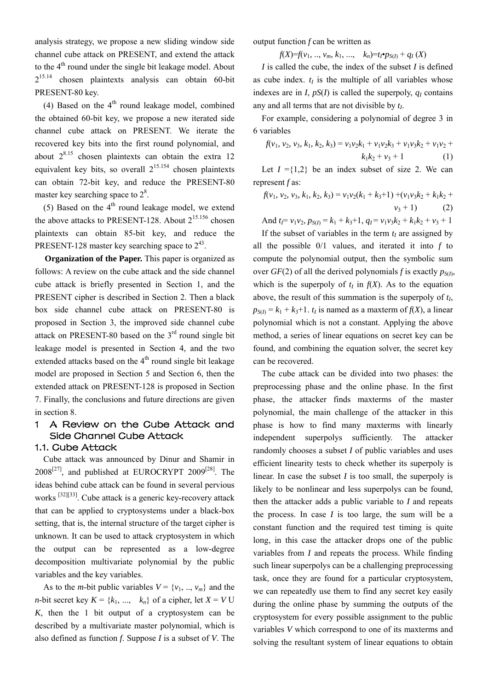analysis strategy, we propose a new sliding window side channel cube attack on PRESENT, and extend the attack to the  $4<sup>th</sup>$  round under the single bit leakage model. About 215.14 chosen plaintexts analysis can obtain 60-bit PRESENT-80 key.

(4) Based on the  $4<sup>th</sup>$  round leakage model, combined the obtained 60-bit key, we propose a new iterated side channel cube attack on PRESENT. We iterate the recovered key bits into the first round polynomial, and about  $2^{8.15}$  chosen plaintexts can obtain the extra 12 equivalent key bits, so overall  $2^{15,154}$  chosen plaintexts can obtain 72-bit key, and reduce the PRESENT-80 master key searching space to  $2^8$ .

(5) Based on the  $4<sup>th</sup>$  round leakage model, we extend the above attacks to PRESENT-128. About  $2^{15.156}$  chosen plaintexts can obtain 85-bit key, and reduce the PRESENT-128 master key searching space to  $2^{43}$ .

**Organization of the Paper.** This paper is organized as follows: A review on the cube attack and the side channel cube attack is briefly presented in Section 1, and the PRESENT cipher is described in Section 2. Then a black box side channel cube attack on PRESENT-80 is proposed in Section 3, the improved side channel cube attack on PRESENT-80 based on the  $3<sup>rd</sup>$  round single bit leakage model is presented in Section 4, and the two extended attacks based on the  $4<sup>th</sup>$  round single bit leakage model are proposed in Section 5 and Section 6, then the extended attack on PRESENT-128 is proposed in Section 7. Finally, the conclusions and future directions are given in section 8.

# 1 A Review on the Cube Attack and Side Channel Cube Attack

### 1.1. Cube Attack

Cube attack was announced by Dinur and Shamir in  $2008^{[27]}$  $2008^{[27]}$  $2008^{[27]}$ , and published at EUROCRYPT  $2009^{[28]}$ . The ideas behind cube attack can be found in several pervious works [\[32\]](#page-9-13)[\[33\]](#page-9-14). Cube attack is a generic key-recovery attack that can be applied to cryptosystems under a black-box setting, that is, the internal structure of the target cipher is unknown. It can be used to attack cryptosystem in which the output can be represented as a low-degree decomposition multivariate polynomial by the public variables and the key variables.

As to the *m*-bit public variables  $V = \{v_1, ..., v_m\}$  and the *n*-bit secret key  $K = \{k_1, ..., k_n\}$  of a cipher, let  $X = VU$ *K*, then the 1 bit output of a cryptosystem can be described by a multivariate master polynomial, which is also defined as function *f*. Suppose *I* is a subset of *V*. The output function *f* can be written as

*f*(*X*)=*f*(*v*<sub>1</sub>, .., *v*<sub>*m*</sub>, *k*<sub>1</sub>, ..., *k<sub>n</sub>*)=*t*<sub>*I*</sub>•*p<sub>S(<i>I*)</sub> + *q<sub>I</sub>* (*X*)

*I* is called the cube, the index of the subset *I* is defined as cube index.  $t_I$  is the multiple of all variables whose indexes are in *I*,  $pS(I)$  is called the superpoly,  $q_I$  contains any and all terms that are not divisible by  $t<sub>L</sub>$ .

For example, considering a polynomial of degree 3 in 6 variables

$$
f(v_1, v_2, v_3, k_1, k_2, k_3) = v_1v_2k_1 + v_1v_2k_3 + v_1v_3k_2 + v_1v_2 + k_1k_2 + v_3 + 1
$$
 (1)

Let  $I = \{1,2\}$  be an index subset of size 2. We can represent *f* as:

$$
f(v_1, v_2, v_3, k_1, k_2, k_3) = v_1v_2(k_1 + k_3 + 1) + (v_1v_3k_2 + k_1k_2 + v_3 + 1)
$$
\n
$$
(2)
$$

And  $t_1 = v_1v_2$ ,  $p_{S(1)} = k_1 + k_3 + 1$ ,  $q_1 = v_1v_3k_2 + k_1k_2 + v_3 + 1$ 

If the subset of variables in the term  $t_I$  are assigned by all the possible 0/1 values, and iterated it into *f* to compute the polynomial output, then the symbolic sum over *GF*(2) of all the derived polynomials *f* is exactly  $p_{S(I)}$ , which is the superpoly of  $t_I$  in  $f(X)$ . As to the equation above, the result of this summation is the superpoly of *tI*,  $p_{S(I)} = k_1 + k_3 + 1$ . *t<sub>I</sub>* is named as a maxterm of  $f(X)$ , a linear polynomial which is not a constant. Applying the above method, a series of linear equations on secret key can be found, and combining the equation solver, the secret key can be recovered.

The cube attack can be divided into two phases: the preprocessing phase and the online phase. In the first phase, the attacker finds maxterms of the master polynomial, the main challenge of the attacker in this phase is how to find many maxterms with linearly independent superpolys sufficiently. The attacker randomly chooses a subset *I* of public variables and uses efficient linearity tests to check whether its superpoly is linear. In case the subset *I* is too small, the superpoly is likely to be nonlinear and less superpolys can be found, then the attacker adds a public variable to *I* and repeats the process. In case  $I$  is too large, the sum will be a constant function and the required test timing is quite long, in this case the attacker drops one of the public variables from *I* and repeats the process. While finding such linear superpolys can be a challenging preprocessing task, once they are found for a particular cryptosystem, we can repeatedly use them to find any secret key easily during the online phase by summing the outputs of the cryptosystem for every possible assignment to the public variables *V* which correspond to one of its maxterms and solving the resultant system of linear equations to obtain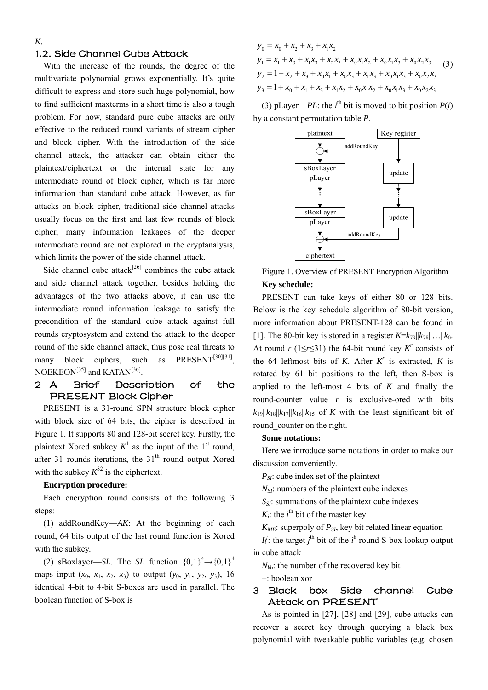### 1.2. Side Channel Cube Attack

With the increase of the rounds, the degree of the multivariate polynomial grows exponentially. It's quite difficult to express and store such huge polynomial, how to find sufficient maxterms in a short time is also a tough problem. For now, standard pure cube attacks are only effective to the reduced round variants of stream cipher and block cipher. With the introduction of the side channel attack, the attacker can obtain either the plaintext/ciphertext or the internal state for any intermediate round of block cipher, which is far more information than standard cube attack. However, as for attacks on block cipher, traditional side channel attacks usually focus on the first and last few rounds of block cipher, many information leakages of the deeper intermediate round are not explored in the cryptanalysis, which limits the power of the side channel attack.

Side channel cube attack<sup>[26]</sup> combines the cube attack and side channel attack together, besides holding the advantages of the two attacks above, it can use the intermediate round information leakage to satisfy the precondition of the standard cube attack against full rounds cryptosystem and extend the attack to the deeper round of the side channel attack, thus pose real threats to many block ciphers, such as PRESENT<sup>[30][31]</sup>, NOEKEON<sup>[35]</sup> and KATAN<sup>[36]</sup>.

### 2 A Brief Description of the PRESENT Block Cipher

PRESENT is a 31-round SPN structure block cipher with block size of 64 bits, the cipher is described in Figure 1. It supports 80 and 128-bit secret key. Firstly, the plaintext Xored subkey  $K^1$  as the input of the 1<sup>st</sup> round, after 31 rounds iterations, the  $31<sup>th</sup>$  round output Xored with the subkey  $K^{32}$  is the ciphertext.

### **Encryption procedure:**

Each encryption round consists of the following 3 steps:

(1) addRoundKey—*AK*: At the beginning of each round, 64 bits output of the last round function is Xored with the subkey.

(2) sBoxlayer—*SL*. The *SL* function  ${0,1}^4 \rightarrow {0,1}^4$ maps input  $(x_0, x_1, x_2, x_3)$  to output  $(y_0, y_1, y_2, y_3)$ , 16 identical 4-bit to 4-bit S-boxes are used in parallel. The boolean function of S-box is

 $y_0 = x_0 + x_2 + x_3 + x_1x_2$  $y_1 = x_1 + x_3 + x_1x_3 + x_2x_3 + x_0x_1x_2 + x_0x_1x_3 + x_0x_2x_3$  $y_2 = 1 + x_2 + x_3 + x_0x_1 + x_0x_3 + x_1x_3 + x_0x_1x_3 + x_0x_2x_3$  $y_3 = 1 + x_0 + x_1 + x_3 + x_1x_2 + x_0x_1x_2 + x_0x_1x_3 + x_0x_2x_3$ (3)

(3) pLayer—*PL*: the *i*<sup>th</sup> bit is moved to bit position  $P(i)$ by a constant permutation table *P*.



Figure 1. Overview of PRESENT Encryption Algorithm **Key schedule:** 

PRESENT can take keys of either 80 or 128 bits. Below is the key schedule algorithm of 80-bit version, more information about PRESENT-128 can be found in [\[1\]](#page-8-0). The 80-bit key is stored in a register  $K = k_{79} ||k_{78}|| \dots ||k_0$ . At round *r* (1≤*r*≤31) the 64-bit round key  $K^r$  consists of the 64 leftmost bits of *K*. After  $K^r$  is extracted, *K* is rotated by 61 bit positions to the left, then S-box is applied to the left-most 4 bits of *K* and finally the round-counter value *r* is exclusive-ored with bits  $k_{19}$ || $k_{18}$ || $k_{17}$ || $k_{16}$ || $k_{15}$  of *K* with the least significant bit of round counter on the right.

#### **Some notations:**

Here we introduce some notations in order to make our discussion conveniently.

*P<sub>SI</sub>*: cube index set of the plaintext

*N<sub>SI</sub>*: numbers of the plaintext cube indexes

*S<sub>SI</sub>*: summations of the plaintext cube indexes

 $K_i$ : the  $i^{\text{th}}$  bit of the master key

 $K_{MF}$ : superpoly of  $P_{SI}$ , key bit related linear equation

 $I_i^j$ : the target  $j^{\text{th}}$  bit of the  $i^{\text{th}}$  round S-box lookup output in cube attack

*Nkb*: the number of the recovered key bit +: boolean xor

### 3 Black box Side channel Cube Attack on PRESENT

As is pointed in [\[27\],](#page-9-10) [\[28\]](#page-9-11) and [\[29\],](#page-9-12) cube attacks can recover a secret key through querying a black box polynomial with tweakable public variables (e.g. chosen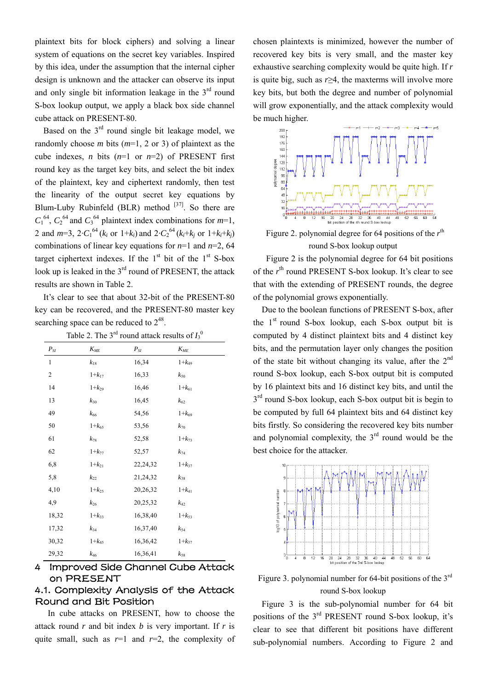plaintext bits for block ciphers) and solving a linear system of equations on the secret key variables. Inspired by this idea, under the assumption that the internal cipher design is unknown and the attacker can observe its input and only single bit information leakage in the  $3<sup>rd</sup>$  round S-box lookup output, we apply a black box side channel cube attack on PRESENT-80.

Based on the  $3<sup>rd</sup>$  round single bit leakage model, we randomly choose *m* bits (*m*=1, 2 or 3) of plaintext as the cube indexes, *n* bits  $(n=1 \text{ or } n=2)$  of PRESENT first round key as the target key bits, and select the bit index of the plaintext, key and ciphertext randomly, then test the linearity of the output secret key equations by Blum-Luby Rubinfeld (BLR) method  $[37]$ . So there are  $C_1^{64}$ ,  $C_2^{64}$  and  $C_3^{64}$  plaintext index combinations for *m*=1, 2 and  $m=3$ ,  $2 \cdot C_1^{64}$  ( $k_i$  or  $1+k_i$ ) and  $2 \cdot C_2^{64}$  ( $k_i+k_j$  or  $1+k_i+k_j$ ) combinations of linear key equations for *n*=1 and *n*=2, 64 target ciphertext indexes. If the  $1<sup>st</sup>$  bit of the  $1<sup>st</sup>$  S-box look up is leaked in the  $3<sup>rd</sup>$  round of PRESENT, the attack results are shown in Table 2.

It's clear to see that about 32-bit of the PRESENT-80 key can be recovered, and the PRESENT-80 master key searching space can be reduced to  $2^{48}$ .

| $P_{SI}$ | $K_{ME}$     | $P_{\mathit{SI}}$ | $K_{ME}$     |
|----------|--------------|-------------------|--------------|
| 1        | $k_{18}$     | 16,34             | $1 + k_{49}$ |
| 2        | $1+k_{17}$   | 16,33             | $k_{50}$     |
| 14       | $1 + k_{29}$ | 16,46             | $1 + k_{61}$ |
| 13       | $k_{30}$     | 16,45             | $k_{62}$     |
| 49       | $k_{66}$     | 54,56             | $1+k_{69}$   |
| 50       | $1 + k_{65}$ | 53,56             | $k_{\rm 70}$ |
| 61       | $k_{78}$     | 52,58             | $1 + k_{73}$ |
| 62       | $1+k_{77}$   | 52,57             | $k_{74}$     |
| 6,8      | $1+k_{21}$   | 22,24,32          | $1+k_{37}$   |
| 5,8      | $k_{22}$     | 21,24,32          | $k_{38}$     |
| 4,10     | $1 + k_{25}$ | 20,26,32          | $1+k_{41}$   |
| 4,9      | $k_{26}$     | 20,25,32          | $k_{42}$     |
| 18,32    | $1+k_{33}$   | 16,38,40          | $1+k_{53}$   |
| 17,32    | $k_{34}$     | 16,37,40          | $k_{54}$     |
| 30,32    | $1 + k_{45}$ | 16,36,42          | $1 + k_{57}$ |
| 29,32    | $k_{46}$     | 16,36,41          | $k_{58}$     |

Table 2. The  $3^{rd}$  round attack results of  $I_3^0$ 

### 4 Improved Side Channel Cube Attack on PRESENT

### 4.1. Complexity Analysis of the Attack Round and Bit Position

In cube attacks on PRESENT, how to choose the attack round *r* and bit index *b* is very important. If *r* is quite small, such as  $r=1$  and  $r=2$ , the complexity of chosen plaintexts is minimized, however the number of recovered key bits is very small, and the master key exhaustive searching complexity would be quite high. If *r* is quite big, such as *r*≥4, the maxterms will involve more key bits, but both the degree and number of polynomial will grow exponentially, and the attack complexity would be much higher.



Figure 2. polynomial degree for 64 positions of the  $r<sup>th</sup>$ round S-box lookup output

Figure 2 is the polynomial degree for 64 bit positions of the  $r<sup>th</sup>$  round PRESENT S-box lookup. It's clear to see that with the extending of PRESENT rounds, the degree of the polynomial grows exponentially.

Due to the boolean functions of PRESENT S-box, after the  $1<sup>st</sup>$  round S-box lookup, each S-box output bit is computed by 4 distinct plaintext bits and 4 distinct key bits, and the permutation layer only changes the position of the state bit without changing its value, after the  $2<sup>nd</sup>$ round S-box lookup, each S-box output bit is computed by 16 plaintext bits and 16 distinct key bits, and until the  $3<sup>rd</sup>$  round S-box lookup, each S-box output bit is begin to be computed by full 64 plaintext bits and 64 distinct key bits firstly. So considering the recovered key bits number and polynomial complexity, the  $3<sup>rd</sup>$  round would be the best choice for the attacker.



Figure 3. polynomial number for 64-bit positions of the 3<sup>rd</sup> round S-box lookup

Figure 3 is the sub-polynomial number for 64 bit positions of the 3rd PRESENT round S-box lookup, it's clear to see that different bit positions have different sub-polynomial numbers. According to Figure 2 and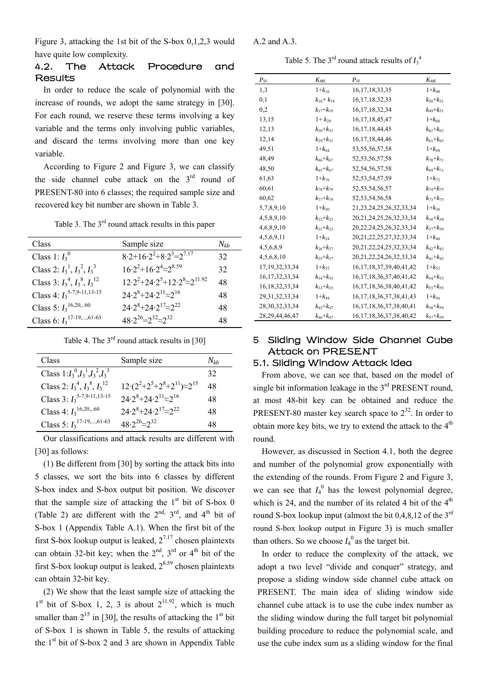Figure 3, attacking the 1st bit of the S-box 0,1,2,3 would have quite low complexity.

### 4.2. The Attack Procedure and **Results**

In order to reduce the scale of polynomial with the increase of rounds, we adopt the same strategy in [\[30\].](#page-9-0) For each round, we reserve these terms involving a key variable and the terms only involving public variables, and discard the terms involving more than one key variable.

According to Figure 2 and Figure 3, we can classify the side channel cube attack on the 3<sup>rd</sup> round of PRESENT-80 into 6 classes; the required sample size and recovered key bit number are shown in Table 3.

Table 3. The  $3<sup>rd</sup>$  round attack results in this paper

| Class                                   | Sample size                                  | $N_{kh}$ |
|-----------------------------------------|----------------------------------------------|----------|
| Class 1: $I_3^0$                        | $8.2+16.2^2+8.2^3=2^{7.17}$                  | 32       |
| Class 2: $I_3^1$ , $I_3^2$ , $I_3^3$    | $16.2^{2}+16.2^{4} \approx 2^{8.59}$         | 32       |
| Class 3: $I_3^4$ , $I_3^8$ , $I_3^{12}$ | $12.2^{2}+24.2^{5}+12.2^{8}\approx2^{11.92}$ | 48       |
| Class 4: $I_3^{5-7,9-11,13-15}$         | $24.2^{8}+24.2^{11} \approx 2^{16}$          | 48       |
| Class 5: $I_3$ <sup>16,20,60</sup>      | $24.2^{8}+24.2^{17}\approx2^{22}$            | 48       |
| Class 6: $I_3$ <sup>17-19,,61-63</sup>  | $48.2^{26} = 2^{32} \approx 2^{32}$          | 48       |

Table 4. The  $3<sup>rd</sup>$  round attack results in [\[30\]](#page-9-0)

| Class                                   | Sample size                                          | $N_{th}$ |
|-----------------------------------------|------------------------------------------------------|----------|
| Class $1:I_3^0,I_3^1,I_3^2,I_3^3$       |                                                      | 32       |
| Class 2: $I_3^4$ , $I_3^8$ , $I_3^{12}$ | $12 \cdot (2^2 + 2^5 + 2^8 + 2^{11}) \approx 2^{15}$ | 48       |
| Class 3: $I_3^{5-7,9-11,13-15}$         | $24.2^{8}+24.2^{11}\approx2^{16}$                    | 48       |
| Class 4: $I_3$ <sup>16,20,60</sup>      | $24.2^{8}+24.2^{17}\approx 2^{22}$                   | 48       |
| Class 5: $I_3$ <sup>17-19,,61-63</sup>  | $48.2^{26} \approx 2^{32}$                           | 48       |

Our classifications and attack results are different with [\[30\]](#page-9-0) as follows:

(1) Be different from [\[30\]](#page-9-0) by sorting the attack bits into 5 classes, we sort the bits into 6 classes by different S-box index and S-box output bit position. We discover that the sample size of attacking the  $1<sup>st</sup>$  bit of S-box 0 (Table 2) are different with the  $2^{nd}$ ,  $3^{rd}$ , and  $4^{th}$  bit of S-box 1 (Appendix Table A.1). When the first bit of the first S-box lookup output is leaked,  $2^{7.17}$  chosen plaintexts can obtain 32-bit key; when the  $2<sup>nd</sup>$ ,  $3<sup>rd</sup>$  or  $4<sup>th</sup>$  bit of the first S-box lookup output is leaked,  $2^{8.59}$  chosen plaintexts can obtain 32-bit key.

(2) We show that the least sample size of attacking the  $1<sup>st</sup>$  bit of S-box 1, 2, 3 is about  $2<sup>11.92</sup>$ , which is much smaller than  $2^{15}$  in [\[30\],](#page-9-0) the results of attacking the  $1<sup>st</sup>$  bit of S-box 1 is shown in Table 5, the results of attacking the  $1<sup>st</sup>$  bit of S-box 2 and 3 are shown in Appendix Table

A.2 and A.3.

Table 5. The  $3<sup>rd</sup>$  round attack results of  $I_3^4$ 

| $P_{SI}$           | $K_{ME}$            | $P_{SI}$                       | $K_{MF}$        |
|--------------------|---------------------|--------------------------------|-----------------|
| 1,3                | $1+k_{16}$          | 16, 17, 18, 33, 35             | $1 + k_{48}$    |
| 0,1                | $k_{18}$ + $k_{19}$ | 16, 17, 18, 32, 33             | $k_{50}+k_{51}$ |
| 0,2                | $k_{17}+k_{19}$     | 16, 17, 18, 32, 34             | $k_{49}+k_{51}$ |
| 13,15              | $1 + k_{28}$        | 16, 17, 18, 45, 47             | $1 + k_{60}$    |
| 12,13              | $k_{30}+k_{31}$     | 16, 17, 18, 44, 45             | $k_{62}+k_{63}$ |
| 12,14              | $k_{29}+k_{31}$     | 16, 17, 18, 44, 46             | $k_{61}+k_{63}$ |
| 49,51              | $1 + k_{64}$        | 53, 55, 56, 57, 58             | $1 + k_{68}$    |
| 48,49              | $k_{66}+k_{67}$     | 52, 53, 56, 57, 58             | $k_{70}+k_{71}$ |
| 48,50              | $k_{65}+k_{67}$     | 52,54,56,57,58                 | $k_{69}+k_{71}$ |
| 61,63              | $1 + k_{76}$        | 52, 53, 54, 57, 59             | $1 + k_{72}$    |
| 60,61              | $k_{78}+k_{79}$     | 52, 53, 54, 56, 57             | $k_{74}+k_{75}$ |
| 60,62              | $k_{77}+k_{79}$     | 52, 53, 54, 56, 58             | $k_{73}+k_{75}$ |
| 5,7,8,9,10         | $1 + k_{20}$        | 21, 23, 24, 25, 26, 32, 33, 34 | $1 + k_{36}$    |
| 4,5,8,9,10         | $k_{22}+k_{23}$     | 20, 21, 24, 25, 26, 32, 33, 34 | $k_{38}+k_{39}$ |
| 4,6,8,9,10         | $k_{21}+k_{23}$     | 20, 22, 24, 25, 26, 32, 33, 34 | $k_{37}+k_{39}$ |
| 4,5,6,9,11         | $1 + k_{24}$        | 20, 21, 22, 25, 27, 32, 33, 34 | $1 + k_{40}$    |
| 4,5,6,8,9          | $k_{26}+k_{27}$     | 20, 21, 22, 24, 25, 32, 33, 34 | $k_{42}+k_{43}$ |
| 4,5,6,8,10         | $k_{25}+k_{27}$     | 20, 21, 22, 24, 26, 32, 33, 34 | $k_{41}+k_{43}$ |
| 17, 19, 32, 33, 34 | $1 + k_{32}$        | 16, 17, 18, 37, 39, 40, 41, 42 | $1 + k_{52}$    |
| 16, 17, 32, 33, 34 | $k_{34}+k_{35}$     | 16, 17, 18, 36, 37, 40, 41, 42 | $k_{54}+k_{55}$ |
| 16, 18, 32, 33, 34 | $k_{33}+k_{35}$     | 16, 17, 18, 36, 38, 40, 41, 42 | $k_{53}+k_{55}$ |
| 29, 31, 32, 33, 34 | $1 + k_{44}$        | 16, 17, 18, 36, 37, 38, 41, 43 | $1+k_{56}$      |
| 28, 30, 32, 33, 34 | $k_{45}+k_{47}$     | 16, 17, 18, 36, 37, 38, 40, 41 | $k_{58}+k_{59}$ |
| 28, 29, 44, 46, 47 | $k_{46}+k_{47}$     | 16, 17, 18, 36, 37, 38, 40, 42 | $k_{57}+k_{59}$ |

# 5 Sliding Window Side Channel Cube Attack on PRESENT

# 5.1. Sliding Window Attack Idea

From above, we can see that, based on the model of single bit information leakage in the  $3<sup>rd</sup>$  PRESENT round, at most 48-bit key can be obtained and reduce the PRESENT-80 master key search space to  $2^{32}$ . In order to obtain more key bits, we try to extend the attack to the  $4<sup>th</sup>$ round.

However, as discussed in Section 4.1, both the degree and number of the polynomial grow exponentially with the extending of the rounds. From Figure 2 and Figure 3, we can see that  $I_4^0$  has the lowest polynomial degree, which is 24, and the number of its related 4 bit of the  $4<sup>th</sup>$ round S-box lookup input (almost the bit  $0,4,8,12$  of the 3<sup>rd</sup> round S-box lookup output in Figure 3) is much smaller than others. So we choose  $I_4^0$  as the target bit.

In order to reduce the complexity of the attack, we adopt a two level "divide and conquer" strategy, and propose a sliding window side channel cube attack on PRESENT. The main idea of sliding window side channel cube attack is to use the cube index number as the sliding window during the full target bit polynomial building procedure to reduce the polynomial scale, and use the cube index sum as a sliding window for the final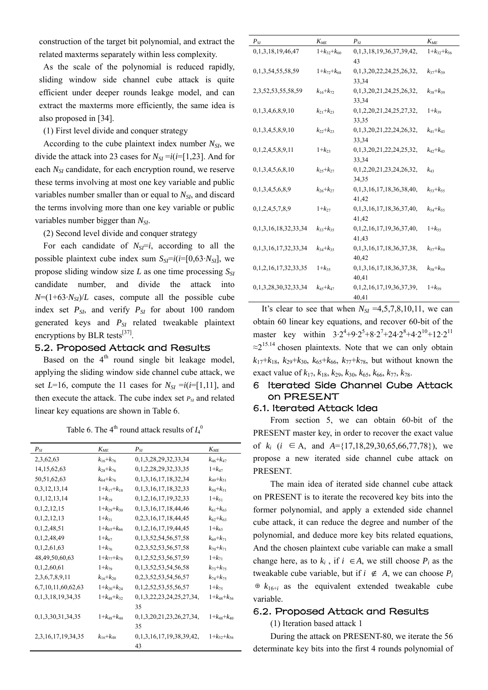construction of the target bit polynomial, and extract the related maxterms separately within less complexity.

As the scale of the polynomial is reduced rapidly, sliding window side channel cube attack is quite efficient under deeper rounds leakge model, and can extract the maxterms more efficiently, the same idea is also proposed in [\[34\].](#page-9-17)

(1) First level divide and conquer strategy

According to the cube plaintext index number  $N_{SI}$ , we divide the attack into 23 cases for  $N_{SI} = i(i=[1,23]$ . And for each *N<sub>SI</sub>* candidate, for each encryption round, we reserve these terms involving at most one key variable and public variables number smaller than or equal to *N<sub>SI*</sub>, and discard the terms involving more than one key variable or public variables number bigger than *NSI*.

(2) Second level divide and conquer strategy

For each candidate of  $N_{SI} = i$ , according to all the possible plaintext cube index sum  $S_{\text{S}}=i(i=[0,63 \cdot N_{\text{S}})]$ , we propose sliding window size  $L$  as one time processing  $S_{SI}$ candidate number, and divide the attack into  $N=(1+63\cdot N_{SI})/L$  cases, compute all the possible cube index set  $P_{SI}$ , and verify  $P_{SI}$  for about 100 random generated keys and  $P_{SI}$  related tweakable plaintext encryptions by BLR tests $^{[37]}$ .

# 5.2. Proposed Attack and Results

Based on the  $4<sup>th</sup>$  round single bit leakage model, applying the sliding window side channel cube attack, we set  $L=16$ , compute the 11 cases for  $N_{SI} = i(i=[1,11]$ , and then execute the attack. The cube index set  $P_{SI}$  and related linear key equations are shown in Table 6.

Table 6. The  $4<sup>th</sup>$  round attack results of  $I_4^0$ 

| $P_{SI}$                | $K_{ME}$          | $P_{SI}$                    | $K_{ME}$          |
|-------------------------|-------------------|-----------------------------|-------------------|
| 2,3,62,63               | $k_{16}+k_{76}$   | 0,1,3,28,29,32,33,34        | $k_{46}+k_{47}$   |
| 14, 15, 62, 63          | $k_{28}+k_{76}$   | 0,1,2,28,29,32,33,35        | $1 + k_{47}$      |
| 50, 51, 62, 63          | $k_{64}+k_{76}$   | 0, 1, 3, 16, 17, 18, 32, 34 | $k_{49}+k_{51}$   |
| 0,3,12,13,14            | $1+k_{17}+k_{18}$ | 0, 1, 3, 16, 17, 18, 32, 33 | $k_{50}+k_{51}$   |
| 0,1,12,13,14            | $1+k_{19}$        | 0,1,2,16,17,19,32,33        | $1+k_{51}$        |
|                         |                   |                             |                   |
| 0,1,2,12,15             | $1+k_{29}+k_{30}$ | 0, 1, 3, 16, 17, 18, 44, 46 | $k_{61}+k_{63}$   |
| 0,1,2,12,13             | $1+k_{31}$        | 0,2,3,16,17,18,44,45        | $k_{62}+k_{63}$   |
| 0,1,2,48,51             | $1+k_{65}+k_{66}$ | 0, 1, 2, 16, 17, 19, 44, 45 | $1+k_{63}$        |
| 0,1,2,48,49             | $1 + k_{67}$      | 0,1,3,52,54,56,57,58        | $k_{69}+k_{71}$   |
| 0,1,2,61,63             | $1 + k_{76}$      | 0,2,3,52,53,56,57,58        | $k_{70}+k_{71}$   |
| 48, 49, 50, 60, 63      | $1+k_{77}+k_{78}$ | 0,1,2,52,53,56,57,59        | $1+k_{71}$        |
| 0,1,2,60,61             | $1 + k_{79}$      | 0,1,3,52,53,54,56,58        | $k_{73}+k_{75}$   |
| 2,3,6,7,8,9,11          | $k_{16}+k_{20}$   | 0,2,3,52,53,54,56,57        | $k_{74}+k_{75}$   |
| 6,7,10,11,60,62,63      | $1+k_{20}+k_{24}$ | 0,1,2,52,53,55,56,57        | $1+k_{75}$        |
| 0, 1, 3, 18, 19, 34, 35 | $1+k_{48}+k_{32}$ | 0,1,3,22,23,24,25,27,34,    | $1+k_{48}+k_{36}$ |
|                         |                   | 35                          |                   |
| 0,1,3,30,31,34,35       | $1+k_{48}+k_{44}$ | 0,1,3,20,21,23,26,27,34,    | $1+k_{48}+k_{40}$ |
|                         |                   | 35                          |                   |
| 2,3,16,17,19,34,35      | $k_{16}+k_{48}$   | 0.1.3.16.17.19.38.39.42.    | $1+k_{52}+k_{56}$ |
|                         |                   | 43                          |                   |

| $P_{SI}$                    | $K_{\textit{ME}}$ | $P_{SI}$                 | $K_{ME}$          |
|-----------------------------|-------------------|--------------------------|-------------------|
| 0,1,3,18,19,46,47           | $1+k_{32}+k_{60}$ | 0,1,3,18,19,36,37,39,42, | $1+k_{32}+k_{56}$ |
|                             |                   | 43                       |                   |
| 0,1,3,54,55,58,59           | $1+k_{72}+k_{68}$ | 0,1,3,20,22,24,25,26,32, | $k_{37}+k_{39}$   |
|                             |                   | 33,34                    |                   |
| 2,3,52,53,55,58,59          | $k_{16}+k_{72}$   | 0,1,3,20,21,24,25,26,32, | $k_{38}+k_{39}$   |
|                             |                   | 33,34                    |                   |
| 0,1,3,4,6,8,9,10            | $k_{21}+k_{23}$   | 0,1,2,20,21,24,25,27,32, | $1+k_{39}$        |
|                             |                   | 33,35                    |                   |
| 0,1,3,4,5,8,9,10            | $k_{22}+k_{23}$   | 0,1,3,20,21,22,24,26,32, | $k_{41}+k_{43}$   |
|                             |                   | 33,34                    |                   |
| 0,1,2,4,5,8,9,11            | $1+k_{23}$        | 0,1,3,20,21,22,24,25,32, | $k_{42}+k_{43}$   |
|                             |                   | 33,34                    |                   |
| 0,1,3,4,5,6,8,10            | $k_{25}+k_{27}$   | 0,1,2,20,21,23,24,26,32, | $k_{43}$          |
|                             |                   | 34,35                    |                   |
| 0,1,3,4,5,6,8,9             | $k_{26}+k_{27}$   | 0,1,3,16,17,18,36,38,40, | $k_{53}+k_{55}$   |
|                             |                   | 41,42                    |                   |
| 0,1,2,4,5,7,8,9             | $1+k_{27}$        | 0,1,3,16,17,18,36,37,40, | $k_{54}+k_{55}$   |
|                             |                   | 41,42                    |                   |
| 0,1,3,16,18,32,33,34        | $k_{33}+k_{35}$   | 0,1,2,16,17,19,36,37,40, | $1+k_{55}$        |
|                             |                   | 41,43                    |                   |
| 0,1,3,16,17,32,33,34        | $k_{34}+k_{35}$   | 0,1,3,16,17,18,36,37,38, | $k_{57}+k_{59}$   |
|                             |                   | 40,42                    |                   |
| 0, 1, 2, 16, 17, 32, 33, 35 | $1+k_{35}$        | 0,1,3,16,17,18,36,37,38, | $k_{58}+k_{59}$   |
|                             |                   | 40,41                    |                   |
| 0,1,3,28,30,32,33,34        | $k_{45}+k_{47}$   | 0,1,2,16,17,19,36,37,39, | $1+k_{59}$        |
|                             |                   | 40,41                    |                   |

It's clear to see that when  $N_{SI} = 4,5,7,8,10,11$ , we can obtain 60 linear key equations, and recover 60-bit of the master key within  $3.2^4 + 9.2^5 + 8.2^7 + 24.2^8 + 4.2^{10} + 12.2^{11}$  $\approx$ 2<sup>15.14</sup> chosen plaintexts. Note that we can only obtain  $k_{17}+k_{18}$ ,  $k_{29}+k_{30}$ ,  $k_{65}+k_{66}$ ,  $k_{77}+k_{78}$ , but without known the exact value of  $k_{17}$ ,  $k_{18}$ ,  $k_{29}$ ,  $k_{30}$ ,  $k_{65}$ ,  $k_{66}$ ,  $k_{77}$ ,  $k_{78}$ .

### 6 Iterated Side Channel Cube Attack on PRESENT

### 6.1. Iterated Attack Idea

From section 5, we can obtain 60-bit of the PRESENT master key, in order to recover the exact value of  $k_i$  (*i* ∈ A, and  $A = \{17,18,29,30,65,66,77,78\}$ ), we propose a new iterated side channel cube attack on PRESENT.

The main idea of iterated side channel cube attack on PRESENT is to iterate the recovered key bits into the former polynomial, and apply a extended side channel cube attack, it can reduce the degree and number of the polynomial, and deduce more key bits related equations, And the chosen plaintext cube variable can make a small change here, as to  $k_i$ , if  $i \in A$ , we still choose  $P_i$  as the tweakable cube variable, but if  $i \notin A$ , we can choose  $P_i$ ⊕  $k_{16+i}$  as the equivalent extended tweakable cube variable.

#### 6.2. Proposed Attack and Results

(1) Iteration based attack 1

During the attack on PRESENT-80, we iterate the 56 determinate key bits into the first 4 rounds polynomial of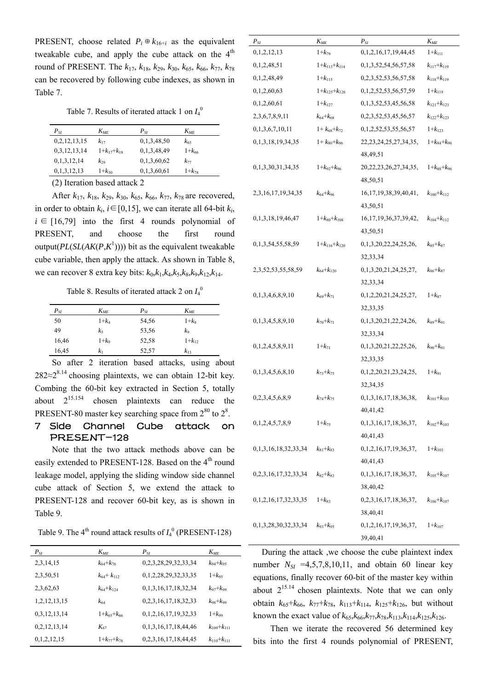PRESENT, choose related  $P_i \oplus k_{16+i}$  as the equivalent tweakable cube, and apply the cube attack on the  $4<sup>th</sup>$ round of PRESENT. The  $k_{17}$ ,  $k_{18}$ ,  $k_{29}$ ,  $k_{30}$ ,  $k_{65}$ ,  $k_{66}$ ,  $k_{77}$ ,  $k_{78}$ can be recovered by following cube indexes, as shown in Table 7.

Table 7. Results of iterated attack 1 on  $I_4^0$ 

| $P_{SI}$     | $K_{ME}$          | $P_{SI}$    | $K_{ME}$     |
|--------------|-------------------|-------------|--------------|
| 0,2,12,13,15 | $k_{17}$          | 0,1,3,48,50 | $k_{65}$     |
| 0,3,12,13,14 | $1+k_{17}+k_{18}$ | 0,1,3,48,49 | $1 + k_{66}$ |
| 0,1,3,12,14  | $k_{29}$          | 0,1,3,60,62 | $k_{77}$     |
| 0,1,3,12,13  | $1+k_{30}$        | 0,1,3,60,61 | $1 + k_{78}$ |
|              | .                 |             |              |

(2) Iteration based attack 2

After *k*17, *k*18, *k*29, *k*30, *k*65, *k*66, *k*77, *k*78 are recovered, in order to obtain  $k_i$ ,  $i \in [0,15]$ , we can iterate all 64-bit  $k_i$ ,  $i \in [16,79]$  into the first 4 rounds polynomial of PRESENT, and choose the first round output( $PL(SL(AK(P,K^1))))$ ) bit as the equivalent tweakable cube variable, then apply the attack. As shown in Table 8, we can recover 8 extra key bits: *k*0,*k*1,*k*4,*k*5,*k*8,*k*9,*k*12,*k*14.

Table 8. Results of iterated attack 2 on  $I_4^0$ 

| $P_{SI}$ | $K_{ME}$  | $P_{SI}$ | $K_{ME}$   |
|----------|-----------|----------|------------|
| 50       | $1 + k_4$ | 54,56    | $1+k_8$    |
| 49       | k5        | 53,56    | k9         |
| 16,46    | $1+k_0$   | 52,58    | $1+k_{12}$ |
| 16,45    | $k_1$     | 52,57    | $k_{13}$   |

So after 2 iteration based attacks, using about  $282 \approx 2^{8.14}$  choosing plaintexts, we can obtain 12-bit key. Combing the 60-bit key extracted in Section 5, totally about  $2^{15.154}$  chosen plaintexts can reduce the PRESENT-80 master key searching space from  $2^{80}$  to  $2^8$ .

# 7 Side Channel Cube attack on PRESENT-128

Note that the two attack methods above can be easily extended to PRESENT-128. Based on the 4<sup>th</sup> round leakage model, applying the sliding window side channel cube attack of Section 5, we extend the attack to PRESENT-128 and recover 60-bit key, as is shown in Table 9.

Table 9. The  $4^{\text{th}}$  round attack results of  $I_4^0$  (PRESENT-128)

| $P_{SI}$     | $K_{ME}$          | $P_{SI}$                    | $K_{ME}$          |
|--------------|-------------------|-----------------------------|-------------------|
| 2,3,14,15    | $k_{64}+k_{76}$   | 0,2,3,28,29,32,33,34        | $k_{94}+k_{95}$   |
| 2,3,50,51    | $k_{64}+k_{112}$  | 0,1,2,28,29,32,33,35        | $1+k_{95}$        |
| 2,3,62,63    | $k_{64}+k_{124}$  | 0,1,3,16,17,18,32,34        | $k_{97}+k_{99}$   |
| 1,2,12,13,15 | $k_{64}$          | 0, 2, 3, 16, 17, 18, 32, 33 | $k_{98}+k_{99}$   |
| 0,3,12,13,14 | $1+k_{65}+k_{66}$ | 0, 1, 2, 16, 17, 19, 32, 33 | $1+k_{99}$        |
| 0,2,12,13,14 | $K_{67}$          | 0, 1, 3, 16, 17, 18, 44, 46 | $k_{109}+k_{111}$ |
| 0,1,2,12,15  | $1+k_{77}+k_{78}$ | 0,2,3,16,17,18,44,45        | $k_{110}+k_{111}$ |

| $P_{SI}$                    | $K_{\tiny ME}$        | $P_{SI}$                     | $K_{ME}$            |
|-----------------------------|-----------------------|------------------------------|---------------------|
| 0,1,2,12,13                 | $1+k_{79}$            | 0,1,2,16,17,19,44,45         | $1+k_{111}$         |
| 0,1,2,48,51                 | $1+k_{113}+k_{114}$   | 0, 1, 3, 52, 54, 56, 57, 58  | $k_{117} + k_{119}$ |
| 0,1,2,48,49                 | $1+k_{115}$           | 0,2,3,52,53,56,57,58         | $k_{118} + k_{119}$ |
| 0,1,2,60,63                 | $1+k_{125}+k_{126}$   | 0, 1, 2, 52, 53, 56, 57, 59  | $1+k_{119}$         |
| 0,1,2,60,61                 | $1+k_{127}$           | 0, 1, 3, 52, 53, 45, 56, 58  | $k_{121}+k_{123}$   |
| 2,3,6,7,8,9,11              | $k_{64}+k_{68}$       | 0,2,3,52,53,45,56,57         | $k_{122}+k_{123}$   |
| 0,1,3,6,7,10,11             | $1 + k_{68} + k_{72}$ | 0,1,2,52,53,55,56,57         | $1+k_{123}$         |
| 0, 1, 3, 18, 19, 34, 35     | $1 + k_{80} + k_{96}$ | 22, 23, 24, 25, 27, 34, 35,  | $1+k_{84}+k_{96}$   |
|                             |                       | 48,49,51                     |                     |
| 0,1,3,30,31,34,35           | $1+k_{92}+k_{96}$     | 20, 22, 23, 26, 27, 34, 35,  | $1+k_{88}+k_{96}$   |
|                             |                       | 48,50,51                     |                     |
| 2, 3, 16, 17, 19, 34, 35    | $k_{64}+k_{96}$       | 16, 17, 19, 38, 39, 40, 41,  | $k_{100}+k_{112}$   |
|                             |                       | 43,50,51                     |                     |
| 0,1,3,18,19,46,47           | $1+k_{80}+k_{108}$    | 16, 17, 19, 36, 37, 39, 42,  | $k_{104}+k_{112}$   |
|                             |                       | 43,50,51                     |                     |
| 0, 1, 3, 54, 55, 58, 59     | $1+k_{116}+k_{120}$   | 0,1,3,20,22,24,25,26,        | $k_{85}+k_{87}$     |
|                             |                       | 32, 33, 34                   |                     |
| 2, 3, 52, 53, 55, 58, 59    | $k_{64}+k_{120}$      | 0,1,3,20,21,24,25,27,        | $k_{86}+k_{87}$     |
|                             |                       | 32, 33, 34                   |                     |
| 0,1,3,4,6,8,9,10            | $k_{69}+k_{71}$       | 0,1,2,20,21,24,25,27,        | $1+k_{87}$          |
|                             |                       | 32, 33, 35                   |                     |
| 0,1,3,4,5,8,9,10            | $k_{70}+k_{71}$       | 0,1,3,20,21,22,24,26,        | $k_{89}+k_{91}$     |
|                             |                       | 32, 33, 34                   |                     |
| 0,1,2,4,5,8,9,11            | $1+k_{71}$            | 0, 1, 3, 20, 21, 22, 25, 26, | $k_{90}+k_{91}$     |
|                             |                       | 32, 33, 35                   |                     |
| 0,1,3,4,5,6,8,10            | $k_{73}+k_{75}$       | 0,1,2,20,21,23,24,25,        | $1+k_{91}$          |
|                             |                       | 32, 34, 35                   |                     |
| 0,2,3,4,5,6,8,9             | $k_{74}+k_{75}$       | 0, 1, 3, 16, 17, 18, 36, 38, | $k_{101} + k_{103}$ |
|                             |                       | 40,41,42                     |                     |
| 0,1,2,4,5,7,8,9             | $1+k_{75}$            | 0,1,3,16,17,18,36,37,        | $k_{102}+k_{103}$   |
|                             |                       | 40,41,43                     |                     |
| 0,1,3,16,18,32,33,34        | $k_{81}+k_{83}$       | 0, 1, 2, 16, 17, 19, 36, 37, | $1+k_{103}$         |
|                             |                       | 40,41,43                     |                     |
| 0,2,3,16,17,32,33,34        | $k_{82}+k_{83}$       | 0, 1, 3, 16, 17, 18, 36, 37, | $k_{105}+k_{107}$   |
|                             |                       | 38,40,42                     |                     |
| 0, 1, 2, 16, 17, 32, 33, 35 | $1+k_{83}$            | 0.2.3.16.17.18.36.37.        | $k_{106}+k_{107}$   |
|                             |                       | 38,40,41                     |                     |
| 0,1,3,28,30,32,33,34        | $k_{93}+k_{95}$       | 0, 1, 2, 16, 17, 19, 36, 37, | $1+k_{107}$         |
|                             |                       | 39,40,41                     |                     |

During the attack ,we choose the cube plaintext index number  $N_{SI}$  =4,5,7,8,10,11, and obtain 60 linear key equations, finally recover 60-bit of the master key within about  $2^{15.14}$  chosen plaintexts. Note that we can only obtain  $k_{65}+k_{66}$ ,  $k_{77}+k_{78}$ ,  $k_{113}+k_{114}$ ,  $k_{125}+k_{126}$ , but without known the exact value of  $k_{65}$ , $k_{66}$ , $k_{77}$ , $k_{78}$ , $k_{113}$ , $k_{114}$ , $k_{125}$ , $k_{126}$ .

Then we iterate the recovered 56 determined key bits into the first 4 rounds polynomial of PRESENT,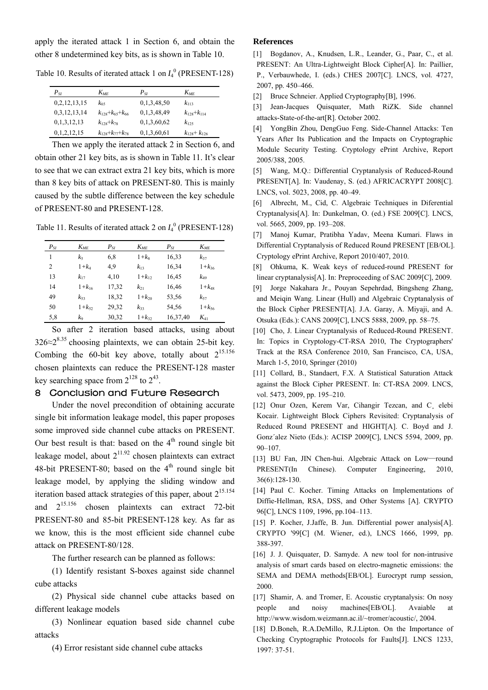<span id="page-8-0"></span>apply the iterated attack 1 in Section 6, and obtain the other 8 undetermined key bits, as is shown in Table 10.

<span id="page-8-2"></span><span id="page-8-1"></span>Table 10. Results of iterated attack 1 on  $I_4^0$  (PRESENT-128)

| $P_{SI}$     | $K_{MF}$                | $P_{SI}$    | $K_{MF}$              |
|--------------|-------------------------|-------------|-----------------------|
| 0,2,12,13,15 | $k_{65}$                | 0,1,3,48,50 | $k_{113}$             |
| 0,3,12,13,14 | $k_{128}+k_{65}+k_{66}$ | 0,1,3,48,49 | $k_{128}+k_{114}$     |
| 0,1,3,12,13  | $k_{128}+k_{78}$        | 0,1,3,60,62 | $k_{125}$             |
| 0,1,2,12,15  | $k_{128}+k_{77}+k_{78}$ | 0,1,3,60,61 | $k_{128}$ + $k_{126}$ |

<span id="page-8-4"></span><span id="page-8-3"></span>Then we apply the iterated attack 2 in Section 6, and obtain other 21 key bits, as is shown in Table 11. It's clear to see that we can extract extra 21 key bits, which is more than 8 key bits of attack on PRESENT-80. This is mainly caused by the subtle difference between the key schedule of PRESENT-80 and PRESENT-128.

<span id="page-8-6"></span><span id="page-8-5"></span>Table 11. Results of iterated attack 2 on *I*<sup>4</sup> <sup>0</sup> (PRESENT-128)

<span id="page-8-7"></span>

| $P_{SI}$       | $K_{ME}$     | $P_{SI}$ | $K_{ME}$     | $P_{SI}$ | $K_{ME}$     |
|----------------|--------------|----------|--------------|----------|--------------|
|                | kς           | 6.8      | $1+k_8$      | 16,33    | $k_{37}$     |
| $\overline{2}$ | $1+k_4$      | 4.9      | $k_{13}$     | 16,34    | $1 + k_{36}$ |
| 13             | $k_{17}$     | 4,10     | $1 + k_{12}$ | 16,45    | $k_{49}$     |
| 14             | $1 + k_{16}$ | 17.32    | $k_{21}$     | 16,46    | $1 + k_{48}$ |
| 49             | $k_{53}$     | 18,32    | $1 + k_{20}$ | 53,56    | $k_{57}$     |
| 50             | $1 + k_{52}$ | 29,32    | $k_{33}$     | 54,56    | $1 + k_{56}$ |
| 5,8            | ko           | 30,32    | $1 + k_{32}$ | 16,37,40 | $K_{41}$     |
|                |              |          |              |          |              |

<span id="page-8-9"></span><span id="page-8-8"></span>So after 2 iteration based attacks, using about  $326 \approx 2^{8.35}$  choosing plaintexts, we can obtain 25-bit key. Combing the 60-bit key above, totally about  $2^{15.156}$ chosen plaintexts can reduce the PRESENT-128 master key searching space from  $2^{128}$  to  $2^{43}$ .

### <span id="page-8-10"></span>8 Conclusion and Future Research

<span id="page-8-12"></span><span id="page-8-11"></span>Under the novel precondition of obtaining accurate single bit information leakage model, this paper proposes some improved side channel cube attacks on PRESENT. Our best result is that: based on the  $4<sup>th</sup>$  round single bit leakage model, about  $2^{11.92}$  chosen plaintexts can extract 48-bit PRESENT-80; based on the  $4<sup>th</sup>$  round single bit leakage model, by applying the sliding window and iteration based attack strategies of this paper, about  $2^{15.154}$ and 215.156 chosen plaintexts can extract 72-bit PRESENT-80 and 85-bit PRESENT-128 key. As far as we know, this is the most efficient side channel cube attack on PRESENT-80/128.

<span id="page-8-13"></span>The further research can be planned as follows:

<span id="page-8-15"></span><span id="page-8-14"></span>(1) Identify resistant S-boxes against side channel cube attacks

<span id="page-8-16"></span>(2) Physical side channel cube attacks based on different leakage models

<span id="page-8-17"></span>(3) Nonlinear equation based side channel cube attacks

(4) Error resistant side channel cube attacks

#### **References**

- [1] Bogdanov, A., Knudsen, L.R., Leander, G., Paar, C., et al. PRESENT: An Ultra-Lightweight Block Cipher[A]. In: Paillier, P., Verbauwhede, I. (eds.) CHES 2007[C]. LNCS, vol. 4727, 2007, pp. 450–466.
- [2] Bruce Schneier. Applied Cryptography[B], 1996.
- [3] Jean-Jacques Quisquater, Math RiZK. Side channel attacks-State-of-the-art[R]. October 2002.
- [4] YongBin Zhou, DengGuo Feng. Side-Channel Attacks: Ten Years After Its Publication and the Impacts on Cryptographic Module Security Testing. Cryptology ePrint Archive, Report 2005/388, 2005.
- [5] Wang, M.Q.: Differential Cryptanalysis of Reduced-Round PRESENT[A]. In: Vaudenay, S. (ed.) AFRICACRYPT 2008[C]. LNCS, vol. 5023, 2008, pp. 40–49.
- [6] Albrecht, M., Cid, C. Algebraic Techniques in Diferential Cryptanalysis[A]. In: Dunkelman, O. (ed.) FSE 2009[C]. LNCS, vol. 5665, 2009, pp. 193–208.
- [7] Manoj Kumar, Pratibha Yadav, Meena Kumari. Flaws in Differential Cryptanalysis of Reduced Round PRESENT [EB/OL]. Cryptology ePrint Archive, Report 2010/407, 2010.
- [8] Ohkuma, K. Weak keys of reduced-round PRESENT for linear cryptanalysis[A]. In: Preproceeding of SAC 2009[C], 2009.
- [9] Jorge Nakahara Jr., Pouyan Sepehrdad, Bingsheng Zhang, and Meiqin Wang. Linear (Hull) and Algebraic Cryptanalysis of the Block Cipher PRESENT[A]. J.A. Garay, A. Miyaji, and A. Otsuka (Eds.): CANS 2009[C], LNCS 5888, 2009, pp. 58–75.
- [10] Cho, J. Linear Cryptanalysis of Reduced-Round PRESENT. In: Topics in Cryptology-CT-RSA 2010, The Cryptographers' Track at the RSA Conference 2010, San Francisco, CA, USA, March 1-5, 2010, Springer (2010)
- [11] Collard, B., Standaert, F.X. A Statistical Saturation Attack against the Block Cipher PRESENT. In: CT-RSA 2009. LNCS, vol. 5473, 2009, pp. 195–210.
- [12] Onur Ozen, Kerem Var, Cihangir Tezcan, and C, elebi Kocair. Lightweight Block Ciphers Revisited: Cryptanalysis of Reduced Round PRESENT and HIGHT[A]. C. Boyd and J. Gonz´alez Nieto (Eds.): ACISP 2009[C], LNCS 5594, 2009, pp. 90–107.
- [13] BU Fan, JIN Chen-hui. Algebraic Attack on Low—round PRESENT(In Chinese). Computer Engineering, 2010, 36(6):128-130.
- [14] Paul C. Kocher. Timing Attacks on Implementations of Diffie-Hellman, RSA, DSS, and Other Systems [A]. CRYPTO 96[C], LNCS 1109, 1996, pp.104–113.
- [15] P. Kocher, J.Jaffe, B. Jun. Differential power analysis[A]. CRYPTO '99[C] (M. Wiener, ed.), LNCS 1666, 1999, pp. 388-397.
- [16] J. J. Quisquater, D. Samyde. A new tool for non-intrusive analysis of smart cards based on electro-magnetic emissions: the SEMA and DEMA methods[EB/OL]. Eurocrypt rump session, 2000.
- [17] Shamir, A. and Tromer, E. Acoustic cryptanalysis: On nosy people and noisy machines[EB/OL]. Avaiable at [http://www.wisdom.weizmann.ac.il/~tromer/acoustic/,](http://www.wisdom.weizmann.ac.il/%7Etromer/acoustic/) 2004.
- [18] D.Boneh, R.A.DeMillo, R.J.Lipton. On the Importance of Checking Cryptographic Protocols for Faults[J]. LNCS 1233, 1997: 37-51.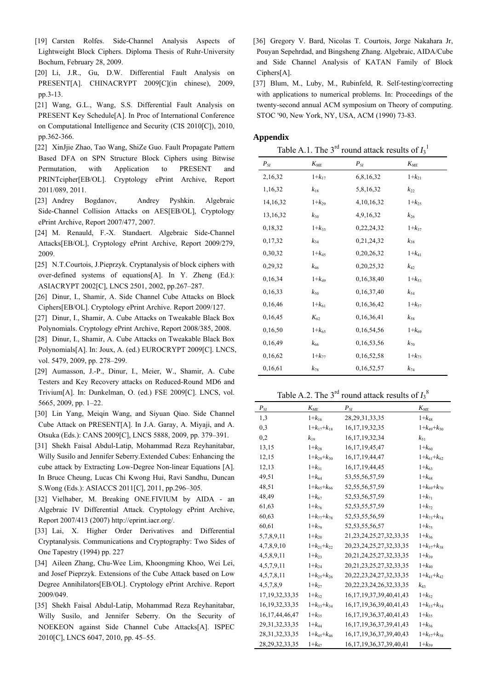- <span id="page-9-2"></span>[19] Carsten Rolfes. Side-Channel Analysis Aspects of Lightweight Block Ciphers. Diploma Thesis of Ruhr-University Bochum, February 28, 2009.
- <span id="page-9-16"></span><span id="page-9-3"></span>[20] Li, J.R., Gu, D.W. Differential Fault Analysis on PRESENT[A]. CHINACRYPT 2009[C](in chinese), 2009, pp.3-13.
- <span id="page-9-4"></span>[21] Wang, G.L., Wang, S.S. Differential Fault Analysis on PRESENT Key Schedule[A]. In Proc of International Conference on Computational Intelligence and Security (CIS 2010[C]), 2010, pp.362-366.
- <span id="page-9-5"></span>[22] XinJjie Zhao, Tao Wang, ShiZe Guo. Fault Propagate Pattern Based DFA on SPN Structure Block Ciphers using Bitwise Permutation, with Application to PRESENT and PRINTcipher[EB/OL]. Cryptology ePrint Archive, Report 2011/089, 2011.
- <span id="page-9-6"></span>[23] Andrey Bogdanov, Andrey Pyshkin. Algebraic Side-Channel Collision Attacks on AES[EB/OL], Cryptology ePrint Archive, Report 2007/477, 2007.
- <span id="page-9-7"></span>[24] M. Renauld, F.-X. Standaert. Algebraic Side-Channel Attacks[EB/OL], Cryptology ePrint Archive, Report 2009/279, 2009.
- <span id="page-9-8"></span>[25] N.T.Courtois, J.Pieprzyk. Cryptanalysis of block ciphers with over-defined systems of equations[A]. In Y. Zheng (Ed.): ASIACRYPT 2002[C], LNCS 2501, 2002, pp.267–287.
- <span id="page-9-9"></span>[26] Dinur, I., Shamir, A. Side Channel Cube Attacks on Block Ciphers[EB/OL]. Cryptology ePrint Archive. Report 2009/127.
- <span id="page-9-10"></span>[27] Dinur, I., Shamir, A. Cube Attacks on Tweakable Black Box Polynomials. Cryptology ePrint Archive, Report 2008/385, 2008.
- <span id="page-9-11"></span>[28] Dinur, I., Shamir, A. Cube Attacks on Tweakable Black Box Polynomials[A]. In: Joux, A. (ed.) EUROCRYPT 2009[C]. LNCS, vol. 5479, 2009, pp. 278–299.
- <span id="page-9-12"></span>[29] Aumasson, J.-P., Dinur, I., Meier, W., Shamir, A. Cube Testers and Key Recovery attacks on Reduced-Round MD6 and Trivium[A]. In: Dunkelman, O. (ed.) FSE 2009[C]. LNCS, vol. 5665, 2009, pp. 1–22.
- <span id="page-9-0"></span>[30] Lin Yang, Meiqin Wang, and Siyuan Qiao. Side Channel Cube Attack on PRESENT[A]. In J.A. Garay, A. Miyaji, and A. Otsuka (Eds.): CANS 2009[C], LNCS 5888, 2009, pp. 379–391.
- <span id="page-9-1"></span>[31] Shekh Faisal Abdul-Latip, Mohammad Reza Reyhanitabar, Willy Susilo and Jennifer Seberry.Extended Cubes: Enhancing the cube attack by Extracting Low-Degree Non-linear Equations [A]. In Bruce Cheung, Lucas Chi Kwong Hui, Ravi Sandhu, Duncan S.Wong (Eds.): ASIACCS 2011[C], 2011, pp.296–305.
- <span id="page-9-13"></span>[32] Vielhaber, M. Breaking ONE.FIVIUM by AIDA - an Algebraic IV Differential Attack. Cryptology ePrint Archive, Report 2007/413 (2007) http://eprint.iacr.org/.
- <span id="page-9-14"></span>[33] Lai, X. Higher Order Derivatives and Differential Cryptanalysis. Communications and Cryptography: Two Sides of One Tapestry (1994) pp. 227
- <span id="page-9-17"></span>[34] Aileen Zhang, Chu-Wee Lim, Khoongming Khoo, Wei Lei, and Josef Pieprzyk. Extensions of the Cube Attack based on Low Degree Annihilators[EB/OL]. Cryptology ePrint Archive. Report 2009/049.
- <span id="page-9-15"></span>[35] Shekh Faisal Abdul-Latip, Mohammad Reza Reyhanitabar, Willy Susilo, and Jennifer Seberry. On the Security of NOEKEON against Side Channel Cube Attacks[A]. ISPEC 2010[C], LNCS 6047, 2010, pp. 45–55.
- [36] Gregory V. Bard, Nicolas T. Courtois, Jorge Nakahara Jr, Pouyan Sepehrdad, and Bingsheng Zhang. Algebraic, AIDA/Cube and Side Channel Analysis of KATAN Family of Block Ciphers[A].
- [37] Blum, M., Luby, M., Rubinfeld, R. Self-testing/correcting with applications to numerical problems. In: Proceedings of the twenty-second annual ACM symposium on Theory of computing. STOC '90, New York, NY, USA, ACM (1990) 73-83.

#### **Appendix**

Table A.1. The  $3^{rd}$  round attack results of  $I_3^1$ 

| $P_{SI}$ | $K_{MF}$     | $P_{SI}$      | $K_{ME}$     |
|----------|--------------|---------------|--------------|
| 2,16,32  | $1+k_{17}$   | 6,8,16,32     | $1+k_{21}$   |
| 1,16,32  | $k_{18}$     | 5,8,16,32     | $k_{22}$     |
| 14,16,32 | $1+k_{29}$   | 4, 10, 16, 32 | $1+k_{25}$   |
| 13,16,32 | $k_{30}$     | 4,9,16,32     | $k_{26}$     |
| 0,18,32  | $1+k_{33}$   | 0,22,24,32    | $1+k_{37}$   |
| 0,17,32  | $k_{34}$     | 0,21,24,32    | $k_{38}$     |
| 0,30,32  | $1+k_{45}$   | 0,20,26,32    | $1 + k_{41}$ |
| 0,29,32  | $k_{46}$     | 0,20,25,32    | $k_{42}$     |
| 0,16,34  | $1 + k_{49}$ | 0,16,38,40    | $1+k_{53}$   |
| 0,16,33  | $k_{50}$     | 0,16,37,40    | $k_{54}$     |
| 0,16,46  | $1 + k_{61}$ | 0,16,36,42    | $1 + k_{57}$ |
| 0,16,45  | $K_{62}$     | 0,16,36,41    | $k_{58}$     |
| 0,16,50  | $1 + k_{65}$ | 0,16,54,56    | $1+k_{69}$   |
| 0,16,49  | $k_{66}$     | 0,16,53,56    | $k_{70}$     |
| 0,16,62  | $1 + k_{77}$ | 0,16,52,58    | $1+k_{73}$   |
| 0,16,61  | $k_{78}$     | 0,16,52,57    | $k_{74}$     |

### Table A.2. The  $3^{rd}$  round attack results of  $I_3^8$

| $P_{SI}$           | $K_{ME}$          | $P_{SI}$                       | $K_{\it ME}$      |
|--------------------|-------------------|--------------------------------|-------------------|
| 1.3                | $1+k_{16}$        | 28, 29, 31, 33, 35             | $1+k_{48}$        |
| 0.3                | $1+k_{17}+k_{18}$ | 16, 17, 19, 32, 35             | $1+k_{49}+k_{50}$ |
| 0,2                | $k_{19}$          | 16, 17, 19, 32, 34             | $k_{51}$          |
| 13,15              | $1+k_{28}$        | 16, 17, 19, 45, 47             | $1 + k_{60}$      |
| 12,15              | $1+k_{29}+k_{30}$ | 16, 17, 19, 44, 47             | $1+k_{61}+k_{62}$ |
| 12,13              | $1+k_{31}$        | 16, 17, 19, 44, 45             | $1+k_{63}$        |
| 49,51              | $1 + k_{64}$      | 53, 55, 56, 57, 59             | $1 + k_{68}$      |
| 48,51              | $1+k_{65}+k_{66}$ | 52, 55, 56, 57, 59             | $1+k_{69}+k_{70}$ |
| 48,49              | $1 + k_{67}$      | 52, 53, 56, 57, 59             | $1+k_{71}$        |
| 61,63              | $1+k_{76}$        | 52, 53, 55, 57, 59             | $1+k_{72}$        |
| 60,63              | $1+k_{77}+k_{78}$ | 52, 53, 55, 56, 59             | $1+k_{73}+k_{74}$ |
| 60,61              | $1+k_{79}$        | 52, 53, 55, 56, 57             | $1 + k_{75}$      |
| 5,7,8,9,11         | $1+k_{20}$        | 21, 23, 24, 25, 27, 32, 33, 35 | $1+k_{36}$        |
| 4,7,8,9,10         | $1+k_{21}+k_{22}$ | 20, 23, 24, 25, 27, 32, 33, 35 | $1+k_{37}+k_{38}$ |
| 4,5,8,9,11         | $1+k_{23}$        | 20, 21, 24, 25, 27, 32, 33, 35 | $1+k_{39}$        |
| 4,5,7,9,11         | $1+k_{24}$        | 20, 21, 23, 25, 27, 32, 33, 35 | $1 + k_{40}$      |
| 4, 5, 7, 8, 11     | $1+k_{25}+k_{26}$ | 20, 22, 23, 24, 27, 32, 33, 35 | $1+k_{41}+k_{42}$ |
| 4,5,7,8,9          | $1+k_{27}$        | 20, 22, 23, 24, 26, 32, 33, 35 | $k_{43}$          |
| 17, 19, 32, 33, 35 | $1+k_{32}$        | 16, 17, 19, 37, 39, 40, 41, 43 | $1+k_{52}$        |
| 16, 19, 32, 33, 35 | $1+k_{33}+k_{34}$ | 16, 17, 19, 36, 39, 40, 41, 43 | $1+k_{53}+k_{54}$ |
| 16, 17, 44, 46, 47 | $1+k_{35}$        | 16, 17, 19, 36, 37, 40, 41, 43 | $1+k_{55}$        |
| 29, 31, 32, 33, 35 | $1 + k_{44}$      | 16, 17, 19, 36, 37, 39, 41, 43 | $1+k_{56}$        |
| 28, 31, 32, 33, 35 | $1+k_{45}+k_{46}$ | 16, 17, 19, 36, 37, 39, 40, 43 | $1+k_{57}+k_{58}$ |
| 28, 29, 32, 33, 35 | $1 + k_{47}$      | 16, 17, 19, 36, 37, 39, 40, 41 | $1+k_{59}$        |